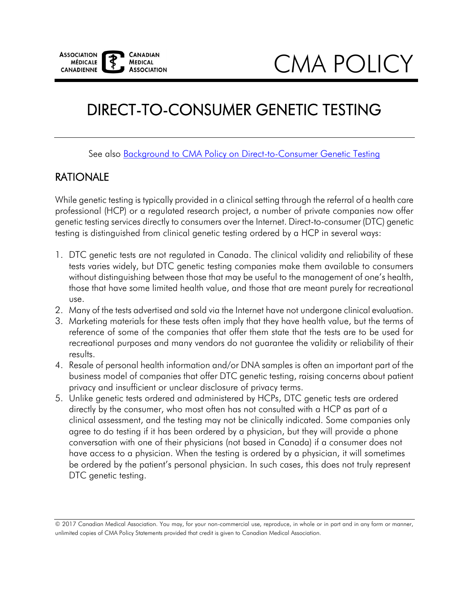CMA POLICY

# DIRECT-TO-CONSUMER GENETIC TESTING

See also Background to CMA Policy on Direct-to-Consumer Genetic Testing

### RATIONALE

 While genetic testing is typically provided in a clinical setting through the referral of a health care professional (HCP) or a regulated research project, a number of private companies now offer genetic testing services directly to consumers over the Internet. Direct-to-consumer (DTC) genetic testing is distinguished from clinical genetic testing ordered by a HCP in several ways:

- 1. DTC genetic tests are not regulated in Canada. The clinical validity and reliability of these tests varies widely, but DTC genetic testing companies make them available to consumers without distinguishing between those that may be useful to the management of one's health, those that have some limited health value, and those that are meant purely for recreational use.
- 2. Many of the tests advertised and sold via the Internet have not undergone clinical evaluation.
- 3. Marketing materials for these tests often imply that they have health value, but the terms of reference of some of the companies that offer them state that the tests are to be used for recreational purposes and many vendors do not guarantee the validity or reliability of their results.
- 4. Resale of personal health information and/or DNA samples is often an important part of the business model of companies that offer DTC genetic testing, raising concerns about patient privacy and insufficient or unclear disclosure of privacy terms.
- 5. Unlike genetic tests ordered and administered by HCPs, DTC genetic tests are ordered directly by the consumer, who most often has not consulted with a HCP as part of a clinical assessment, and the testing may not be clinically indicated. Some companies only agree to do testing if it has been ordered by a physician, but they will provide a phone conversation with one of their physicians (not based in Canada) if a consumer does not have access to a physician. When the testing is ordered by a physician, it will sometimes be ordered by the patient's personal physician. In such cases, this does not truly represent DTC genetic testing.

 © 2017 Canadian Medical Association. You may, for your non-commercial use, reproduce, in whole or in part and in any form or manner, unlimited copies of CMA Policy Statements provided that credit is given to Canadian Medical Association.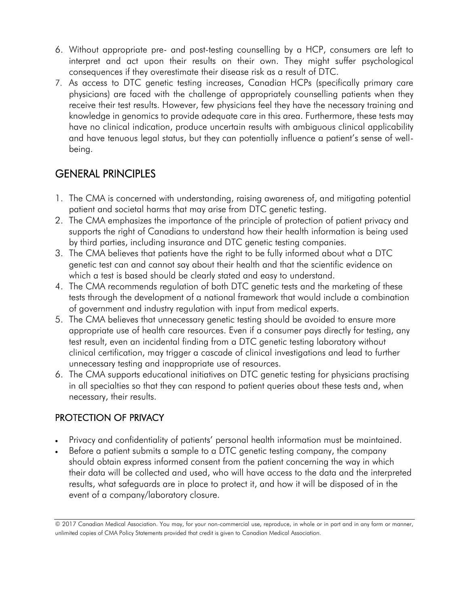- 6. Without appropriate pre- and post-testing counselling by a HCP, consumers are left to interpret and act upon their results on their own. They might suffer psychological consequences if they overestimate their disease risk as a result of DTC.
- 7. As access to DTC genetic testing increases, Canadian HCPs (specifically primary care receive their test results. However, few physicians feel they have the necessary training and and have tenuous legal status, but they can potentially influence a patient's sense of wellphysicians) are faced with the challenge of appropriately counselling patients when they knowledge in genomics to provide adequate care in this area. Furthermore, these tests may have no clinical indication, produce uncertain results with ambiguous clinical applicability being.

## GENERAL PRINCIPLES

- 1. The CMA is concerned with understanding, raising awareness of, and mitigating potential patient and societal harms that may arise from DTC genetic testing.
- 2. The CMA emphasizes the importance of the principle of protection of patient privacy and supports the right of Canadians to understand how their health information is being used by third parties, including insurance and DTC genetic testing companies.
- which a test is based should be clearly stated and easy to understand. 3. The CMA believes that patients have the right to be fully informed about what a DTC genetic test can and cannot say about their health and that the scientific evidence on
- 4. The CMA recommends regulation of both DTC genetic tests and the marketing of these tests through the development of a national framework that would include a combination of government and industry regulation with input from medical experts.
- 5. The CMA believes that unnecessary genetic testing should be avoided to ensure more appropriate use of health care resources. Even if a consumer pays directly for testing, any test result, even an incidental finding from a DTC genetic testing laboratory without clinical certification, may trigger a cascade of clinical investigations and lead to further unnecessary testing and inappropriate use of resources.
- 6. The CMA supports educational initiatives on DTC genetic testing for physicians practising in all specialties so that they can respond to patient queries about these tests and, when necessary, their results.

### PROTECTION OF PRIVACY

- Privacy and confidentiality of patients' personal health information must be maintained.
- Before a patient submits a sample to a DTC genetic testing company, the company should obtain express informed consent from the patient concerning the way in which their data will be collected and used, who will have access to the data and the interpreted results, what safeguards are in place to protect it, and how it will be disposed of in the event of a company/laboratory closure.

 © 2017 Canadian Medical Association. You may, for your non-commercial use, reproduce, in whole or in part and in any form or manner, unlimited copies of CMA Policy Statements provided that credit is given to Canadian Medical Association.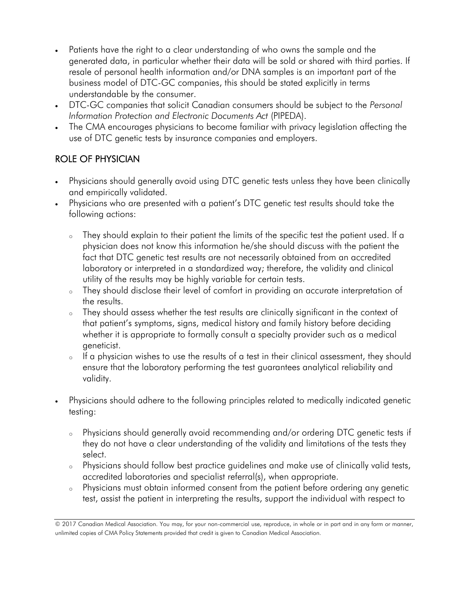- Patients have the right to a clear understanding of who owns the sample and the generated data, in particular whether their data will be sold or shared with third parties. If resale of personal health information and/or DNA samples is an important part of the business model of DTC-GC companies, this should be stated explicitly in terms understandable by the consumer.
- *Information Protection and Electronic Documents Act* (PIPEDA). DTC-GC companies that solicit Canadian consumers should be subject to the *Personal*
- The CMA encourages physicians to become familiar with privacy legislation affecting the use of DTC genetic tests by insurance companies and employers.

#### ROLE OF PHYSICIAN

- Physicians should generally avoid using DTC genetic tests unless they have been clinically and empirically validated.
- Physicians who are presented with a patient's DTC genetic test results should take the following actions:
	- <sup>o</sup> They should explain to their patient the limits of the specific test the patient used. If a physician does not know this information he/she should discuss with the patient the fact that DTC genetic test results are not necessarily obtained from an accredited laboratory or interpreted in a standardized way; therefore, the validity and clinical utility of the results may be highly variable for certain tests.
	- <sup>o</sup> They should disclose their level of comfort in providing an accurate interpretation of the results.
	- <sup>o</sup> They should assess whether the test results are clinically significant in the context of that patient's symptoms, signs, medical history and family history before deciding whether it is appropriate to formally consult a specialty provider such as a medical geneticist.
	- <sup>o</sup> If a physician wishes to use the results of a test in their clinical assessment, they should ensure that the laboratory performing the test guarantees analytical reliability and validity.
- Physicians should adhere to the following principles related to medically indicated genetic testing:
	- <sup>o</sup> Physicians should generally avoid recommending and/or ordering DTC genetic tests if they do not have a clear understanding of the validity and limitations of the tests they select.
	- <sup>o</sup> Physicians should follow best practice guidelines and make use of clinically valid tests, accredited laboratories and specialist referral(s), when appropriate.
	- <sup>o</sup> Physicians must obtain informed consent from the patient before ordering any genetic test, assist the patient in interpreting the results, support the individual with respect to

 © 2017 Canadian Medical Association. You may, for your non-commercial use, reproduce, in whole or in part and in any form or manner, unlimited copies of CMA Policy Statements provided that credit is given to Canadian Medical Association.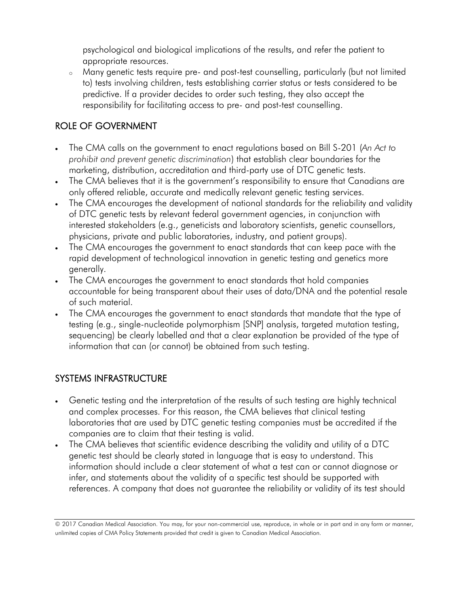psychological and biological implications of the results, and refer the patient to appropriate resources.

<sup>o</sup> Many genetic tests require pre- and post-test counselling, particularly (but not limited to) tests involving children, tests establishing carrier status or tests considered to be predictive. If a provider decides to order such testing, they also accept the responsibility for facilitating access to pre- and post-test counselling.

#### ROLE OF GOVERNMENT

- The CMA calls on the government to enact regulations based on Bill S-201 (*An Act to prohibit and prevent genetic discrimination*) that establish clear boundaries for the marketing, distribution, accreditation and third-party use of DTC genetic tests.
- The CMA believes that it is the government's responsibility to ensure that Canadians are only offered reliable, accurate and medically relevant genetic testing services.
- The CMA encourages the development of national standards for the reliability and validity of DTC genetic tests by relevant federal government agencies, in conjunction with interested stakeholders (e.g., geneticists and laboratory scientists, genetic counsellors, physicians, private and public laboratories, industry, and patient groups).
- The CMA encourages the government to enact standards that can keep pace with the rapid development of technological innovation in genetic testing and genetics more generally.
- The CMA encourages the government to enact standards that hold companies accountable for being transparent about their uses of data/DNA and the potential resale of such material.
- The CMA encourages the government to enact standards that mandate that the type of testing (e.g., single-nucleotide polymorphism [SNP] analysis, targeted mutation testing, sequencing) be clearly labelled and that a clear explanation be provided of the type of information that can (or cannot) be obtained from such testing.

#### SYSTEMS INFRASTRUCTURE

- companies are to claim that their testing is valid. Genetic testing and the interpretation of the results of such testing are highly technical and complex processes. For this reason, the CMA believes that clinical testing laboratories that are used by DTC genetic testing companies must be accredited if the
- The CMA believes that scientific evidence describing the validity and utility of a DTC genetic test should be clearly stated in language that is easy to understand. This information should include a clear statement of what a test can or cannot diagnose or infer, and statements about the validity of a specific test should be supported with references. A company that does not guarantee the reliability or validity of its test should

 © 2017 Canadian Medical Association. You may, for your non-commercial use, reproduce, in whole or in part and in any form or manner, unlimited copies of CMA Policy Statements provided that credit is given to Canadian Medical Association.